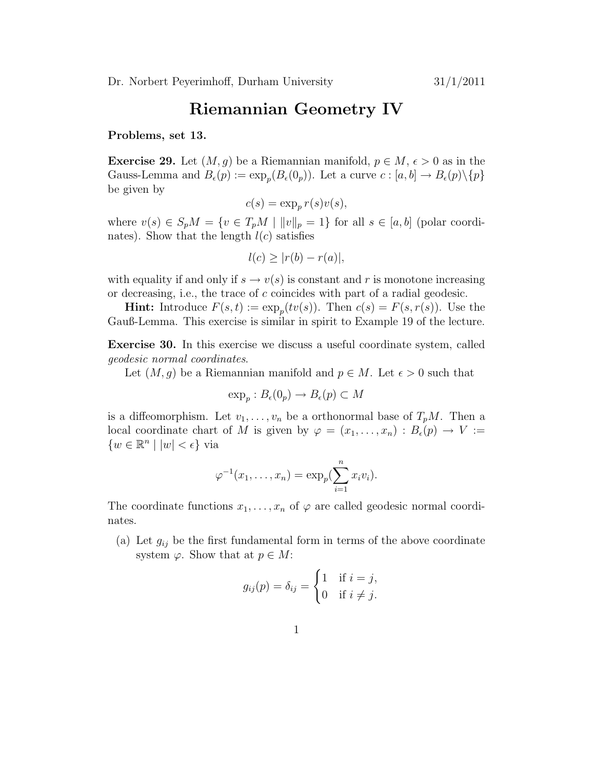## Riemannian Geometry IV

Problems, set 13.

**Exercise 29.** Let  $(M, q)$  be a Riemannian manifold,  $p \in M$ ,  $\epsilon > 0$  as in the Gauss-Lemma and  $B_{\epsilon}(p) := \exp_p(B_{\epsilon}(0_p))$ . Let a curve  $c : [a, b] \to B_{\epsilon}(p) \setminus \{p\}$ be given by

$$
c(s) = \exp_p r(s)v(s),
$$

where  $v(s) \in S_p M = \{v \in T_p M \mid ||v||_p = 1\}$  for all  $s \in [a, b]$  (polar coordinates). Show that the length  $l(c)$  satisfies

$$
l(c) \ge |r(b) - r(a)|,
$$

with equality if and only if  $s \to v(s)$  is constant and r is monotone increasing or decreasing, i.e., the trace of c coincides with part of a radial geodesic.

**Hint:** Introduce  $F(s,t) := \exp_p(tv(s))$ . Then  $c(s) = F(s,r(s))$ . Use the Gauß-Lemma. This exercise is similar in spirit to Example 19 of the lecture.

Exercise 30. In this exercise we discuss a useful coordinate system, called geodesic normal coordinates.

Let  $(M, g)$  be a Riemannian manifold and  $p \in M$ . Let  $\epsilon > 0$  such that

$$
\exp_p: B_{\epsilon}(0_p) \to B_{\epsilon}(p) \subset M
$$

is a diffeomorphism. Let  $v_1, \ldots, v_n$  be a orthonormal base of  $T_pM$ . Then a local coordinate chart of M is given by  $\varphi = (x_1, \ldots, x_n) : B_{\epsilon}(p) \to V :=$  $\{w \in \mathbb{R}^n \mid |w| < \epsilon\}$  via

$$
\varphi^{-1}(x_1,\ldots,x_n)=\exp_p(\sum_{i=1}^n x_iv_i).
$$

The coordinate functions  $x_1, \ldots, x_n$  of  $\varphi$  are called geodesic normal coordinates.

(a) Let  $g_{ij}$  be the first fundamental form in terms of the above coordinate system  $\varphi$ . Show that at  $p \in M$ :

$$
g_{ij}(p) = \delta_{ij} = \begin{cases} 1 & \text{if } i = j, \\ 0 & \text{if } i \neq j. \end{cases}
$$